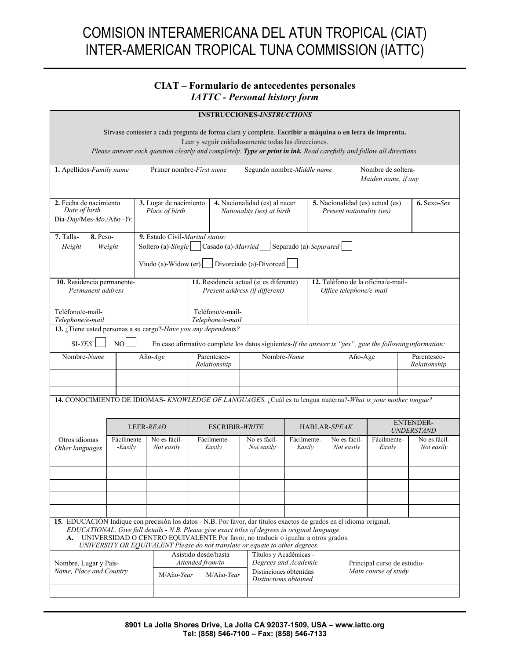## COMISION INTERAMERICANA DEL ATUN TROPICAL (CIAT) INTER-AMERICAN TROPICAL TUNA COMMISSION (IATTC)

## **CIAT – Formulario de antecedentes personales**  *IATTC - Personal history form*

| <b>INSTRUCCIONES-INSTRUCTIONS</b>                                                                                                                                                                                                                                                                                                                                                               |                                                                                                                                                                                                                                      |                       |                                                                                                                                                                       |                                                                                                                                                                |                                                                                                     |                                                                                                   |                            |                       |                                                     |                                  |                       |                            |
|-------------------------------------------------------------------------------------------------------------------------------------------------------------------------------------------------------------------------------------------------------------------------------------------------------------------------------------------------------------------------------------------------|--------------------------------------------------------------------------------------------------------------------------------------------------------------------------------------------------------------------------------------|-----------------------|-----------------------------------------------------------------------------------------------------------------------------------------------------------------------|----------------------------------------------------------------------------------------------------------------------------------------------------------------|-----------------------------------------------------------------------------------------------------|---------------------------------------------------------------------------------------------------|----------------------------|-----------------------|-----------------------------------------------------|----------------------------------|-----------------------|----------------------------|
| Sírvase contester a cada pregunta de forma clara y complete. Escribir a máquina o en letra de imprenta.<br>Leer y seguir cuidadosamente todas las direcciones.<br>Please answer each question clearly and completely. Type or print in ink. Read carefully and follow all directions.                                                                                                           |                                                                                                                                                                                                                                      |                       |                                                                                                                                                                       |                                                                                                                                                                |                                                                                                     |                                                                                                   |                            |                       |                                                     |                                  |                       |                            |
| 1. Apellidos-Family name                                                                                                                                                                                                                                                                                                                                                                        |                                                                                                                                                                                                                                      |                       |                                                                                                                                                                       |                                                                                                                                                                | Primer nombre-First name<br>Segundo nombre-Middle name<br>Nombre de soltera-<br>Maiden name, if any |                                                                                                   |                            |                       |                                                     |                                  |                       |                            |
| 2. Fecha de nacimiento<br>Date of birth<br>Día-Day/Mes-Mo./Año - Yr.                                                                                                                                                                                                                                                                                                                            |                                                                                                                                                                                                                                      |                       | 3. Lugar de nacimiento<br>Place of birth                                                                                                                              |                                                                                                                                                                |                                                                                                     | 4. Nacionalidad (es) al nacer<br>Nationality (ies) at birth                                       |                            |                       | Present nationality (ies)                           | 5. Nacionalidad (es) actual (es) | $6.$ Sexo-Sex         |                            |
| 7. Talla-<br><b>8.</b> Peso-<br>Height<br>Weight                                                                                                                                                                                                                                                                                                                                                |                                                                                                                                                                                                                                      |                       | 9. Estado Civil-Marital status:<br>Soltero (a)-Single $\vert$ $\vert$ Casado (a)-Married<br>Separado (a)-Separated<br>Viudo (a)-Widow (er)<br>Divorciado (a)-Divorced |                                                                                                                                                                |                                                                                                     |                                                                                                   |                            |                       |                                                     |                                  |                       |                            |
| 10. Residencia permanente-<br>Permanent address<br>Teléfono/e-mail-                                                                                                                                                                                                                                                                                                                             |                                                                                                                                                                                                                                      |                       |                                                                                                                                                                       | 11. Residencia actual (si es diferente)<br>12. Teléfono de la oficina/e-mail-<br>Present address (if different)<br>Office telephone/e-mail<br>Teléfono/e-mail- |                                                                                                     |                                                                                                   |                            |                       |                                                     |                                  |                       |                            |
|                                                                                                                                                                                                                                                                                                                                                                                                 | Telephone/e-mail<br>Telephone/e-mail<br>13. ¿Tiene usted personas a su cargo?-Have you any dependents?<br>$SI-YES$<br>NO<br>En caso afirmativo complete los datos siguientes-If the answer is "yes", give the following information: |                       |                                                                                                                                                                       |                                                                                                                                                                |                                                                                                     |                                                                                                   |                            |                       |                                                     |                                  |                       |                            |
| Nombre-Name                                                                                                                                                                                                                                                                                                                                                                                     |                                                                                                                                                                                                                                      | Año- $Age$            |                                                                                                                                                                       | Parentesco-<br>Relationship                                                                                                                                    |                                                                                                     | Nombre-Name                                                                                       |                            | Año-Age               |                                                     | Parentesco-<br>Relationship      |                       |                            |
| 14. CONOCIMIENTO DE IDIOMAS- KNOWLEDGE OF LANGUAGES. ¿Cuál es tu lengua materna?-What is your mother tongue?                                                                                                                                                                                                                                                                                    |                                                                                                                                                                                                                                      |                       |                                                                                                                                                                       |                                                                                                                                                                |                                                                                                     |                                                                                                   |                            |                       |                                                     |                                  |                       |                            |
|                                                                                                                                                                                                                                                                                                                                                                                                 |                                                                                                                                                                                                                                      |                       | LEER-READ                                                                                                                                                             |                                                                                                                                                                |                                                                                                     | <b>ESCRIBIR-WRITE</b>                                                                             |                            | <b>HABLAR-SPEAK</b>   |                                                     |                                  |                       | ENTENDER-<br>UNDERSTAND    |
| Otros idiomas<br>Other languages                                                                                                                                                                                                                                                                                                                                                                |                                                                                                                                                                                                                                      | Fácilmente<br>-Easily |                                                                                                                                                                       | No es fácil-<br>Not easily                                                                                                                                     |                                                                                                     | Fácilmente-<br>Easily                                                                             | No es fácil-<br>Not easily | Fácilmente-<br>Easily |                                                     | No es fácil-<br>Not easily       | Fácilmente-<br>Easily | No es fácil-<br>Not easily |
|                                                                                                                                                                                                                                                                                                                                                                                                 |                                                                                                                                                                                                                                      |                       |                                                                                                                                                                       |                                                                                                                                                                |                                                                                                     |                                                                                                   |                            |                       |                                                     |                                  |                       |                            |
| 15. EDUCACIÓN Indique con precisión los datos - N.B. Por favor, dar títulos exactos de grados en el idioma original.<br>EDUCATIONAL. Give full details - N.B. Please give exact titles of degrees in original language.<br>A. UNIVERSIDAD O CENTRO EQUIVALENTE Por favor, no traducir o igualar a otros grados.<br>UNIVERSITY OR EQUIVALENT Please do not translate or equate to other degrees. |                                                                                                                                                                                                                                      |                       |                                                                                                                                                                       |                                                                                                                                                                |                                                                                                     |                                                                                                   |                            |                       |                                                     |                                  |                       |                            |
| Nombre, Lugar y País-<br>Name, Place and Country                                                                                                                                                                                                                                                                                                                                                |                                                                                                                                                                                                                                      |                       | M/Año-Year                                                                                                                                                            | Asistido desde/hasta<br>Attended from/to<br>M/Año-Year                                                                                                         |                                                                                                     | Títulos y Académicas -<br>Degrees and Academic<br>Distinciones obtenidas<br>Distinctions obtained |                            |                       | Principal curso de estudio-<br>Main course of study |                                  |                       |                            |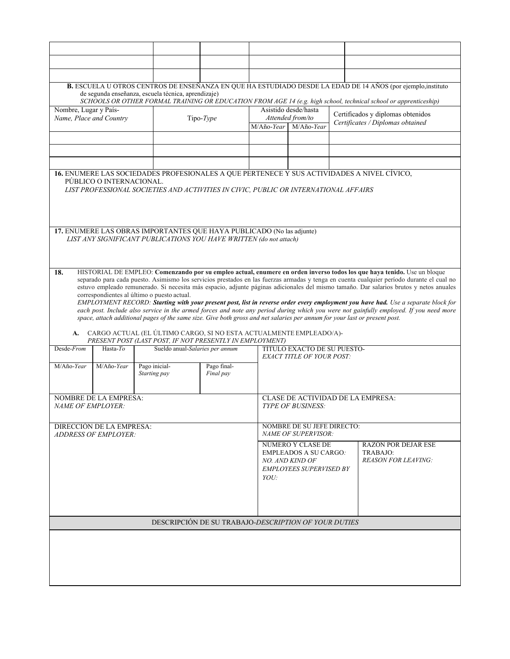| B. ESCUELA U OTROS CENTROS DE ENSEÑANZA EN QUE HA ESTUDIADO DESDE LA EDAD DE 14 AÑOS (por ejemplo, instituto<br>de segunda enseñanza, escuela técnica, aprendizaje)<br>SCHOOLS OR OTHER FORMAL TRAINING OR EDUCATION FROM AGE 14 (e.g. high school, technical school or apprenticeship)                                                                                                                                                                                                                                                                                                                                                                                                                                                                                                                                                                                                                                                                                                                                |                                                                                                                                             |                                 |                                                        |                                                                                                               |                                                                                            |                                                                      |  |  |  |
|------------------------------------------------------------------------------------------------------------------------------------------------------------------------------------------------------------------------------------------------------------------------------------------------------------------------------------------------------------------------------------------------------------------------------------------------------------------------------------------------------------------------------------------------------------------------------------------------------------------------------------------------------------------------------------------------------------------------------------------------------------------------------------------------------------------------------------------------------------------------------------------------------------------------------------------------------------------------------------------------------------------------|---------------------------------------------------------------------------------------------------------------------------------------------|---------------------------------|--------------------------------------------------------|---------------------------------------------------------------------------------------------------------------|--------------------------------------------------------------------------------------------|----------------------------------------------------------------------|--|--|--|
| Nombre, Lugar y País-<br>Name, Place and Country<br>Tipo-Type                                                                                                                                                                                                                                                                                                                                                                                                                                                                                                                                                                                                                                                                                                                                                                                                                                                                                                                                                          |                                                                                                                                             |                                 | Asistido desde/hasta<br>Attended from/to<br>M/Año-Year | Certificados y diplomas obtenidos<br>Certificates / Diplomas obtained                                         |                                                                                            |                                                                      |  |  |  |
|                                                                                                                                                                                                                                                                                                                                                                                                                                                                                                                                                                                                                                                                                                                                                                                                                                                                                                                                                                                                                        |                                                                                                                                             |                                 |                                                        |                                                                                                               |                                                                                            |                                                                      |  |  |  |
|                                                                                                                                                                                                                                                                                                                                                                                                                                                                                                                                                                                                                                                                                                                                                                                                                                                                                                                                                                                                                        |                                                                                                                                             |                                 |                                                        |                                                                                                               | 16. ENUMERE LAS SOCIEDADES PROFESIONALES A QUE PERTENECE Y SUS ACTIVIDADES A NIVEL CÍVICO, |                                                                      |  |  |  |
|                                                                                                                                                                                                                                                                                                                                                                                                                                                                                                                                                                                                                                                                                                                                                                                                                                                                                                                                                                                                                        | PÚBLICO O INTERNACIONAL.<br>LIST PROFESSIONAL SOCIETIES AND ACTIVITIES IN CIVIC, PUBLIC OR INTERNATIONAL AFFAIRS                            |                                 |                                                        |                                                                                                               |                                                                                            |                                                                      |  |  |  |
|                                                                                                                                                                                                                                                                                                                                                                                                                                                                                                                                                                                                                                                                                                                                                                                                                                                                                                                                                                                                                        | 17. ENUMERE LAS OBRAS IMPORTANTES QUE HAYA PUBLICADO (No las adjunte)<br>LIST ANY SIGNIFICANT PUBLICATIONS YOU HAVE WRITTEN (do not attach) |                                 |                                                        |                                                                                                               |                                                                                            |                                                                      |  |  |  |
| HISTORIAL DE EMPLEO: Comenzando por su empleo actual, enumere en orden inverso todos los que haya tenido. Use un bloque<br>18.<br>separado para cada puesto. Asimismo los servicios prestados en las fuerzas armadas y tenga en cuenta cualquier período durante el cual no<br>estuvo empleado remunerado. Si necesita más espacio, adjunte páginas adicionales del mismo tamaño. Dar salarios brutos y netos anuales<br>correspondientes al último o puesto actual.<br>EMPLOYMENT RECORD: Starting with your present post, list in reverse order every employment you have had. Use a separate block for<br>each post. Include also service in the armed forces and note any period during which you were not gainfully employed. If you need more<br>space, attach additional pages of the same size. Give both gross and net salaries per annum for your last or present post.<br>A. CARGO ACTUAL (EL ÚLTIMO CARGO, SI NO ESTA ACTUALMENTE EMPLEADO/A)-<br>PRESENT POST (LAST POST, IF NOT PRESENTLY IN EMPLOYMENT) |                                                                                                                                             |                                 |                                                        |                                                                                                               |                                                                                            |                                                                      |  |  |  |
| Desde-From                                                                                                                                                                                                                                                                                                                                                                                                                                                                                                                                                                                                                                                                                                                                                                                                                                                                                                                                                                                                             | Hasta- $To$                                                                                                                                 | Sueldo anual-Salaries per annum |                                                        | TÍTULO EXACTO DE SU PUESTO-<br><b>EXACT TITLE OF YOUR POST:</b>                                               |                                                                                            |                                                                      |  |  |  |
| M/Año-Year                                                                                                                                                                                                                                                                                                                                                                                                                                                                                                                                                                                                                                                                                                                                                                                                                                                                                                                                                                                                             | M/Año-Year                                                                                                                                  | Pago inicial-<br>Starting pay   | Pago final-<br>Final pay                               |                                                                                                               |                                                                                            |                                                                      |  |  |  |
| <b>NOMBRE DE LA EMPRESA:</b><br>NAME OF EMPLOYER:                                                                                                                                                                                                                                                                                                                                                                                                                                                                                                                                                                                                                                                                                                                                                                                                                                                                                                                                                                      |                                                                                                                                             |                                 |                                                        |                                                                                                               | CLASE DE ACTIVIDAD DE LA EMPRESA:<br><b>TYPE OF BUSINESS:</b>                              |                                                                      |  |  |  |
| DIRECCIÓN DE LA EMPRESA:<br><b>ADDRESS OF EMPLOYER:</b>                                                                                                                                                                                                                                                                                                                                                                                                                                                                                                                                                                                                                                                                                                                                                                                                                                                                                                                                                                |                                                                                                                                             |                                 |                                                        |                                                                                                               | NOMBRE DE SU JEFE DIRECTO:<br>NAME OF SUPERVISOR:                                          |                                                                      |  |  |  |
|                                                                                                                                                                                                                                                                                                                                                                                                                                                                                                                                                                                                                                                                                                                                                                                                                                                                                                                                                                                                                        |                                                                                                                                             |                                 | YOU:                                                   | NÚMERO Y CLASE DE<br><b>EMPLEADOS A SU CARGO:</b><br><b>NO. AND KIND OF</b><br><b>EMPLOYEES SUPERVISED BY</b> |                                                                                            | <b>RAZÓN POR DEJAR ESE</b><br>TRABAJO:<br><b>REASON FOR LEAVING:</b> |  |  |  |
|                                                                                                                                                                                                                                                                                                                                                                                                                                                                                                                                                                                                                                                                                                                                                                                                                                                                                                                                                                                                                        |                                                                                                                                             |                                 |                                                        |                                                                                                               |                                                                                            |                                                                      |  |  |  |
| DESCRIPCIÓN DE SU TRABAJO-DESCRIPTION OF YOUR DUTIES                                                                                                                                                                                                                                                                                                                                                                                                                                                                                                                                                                                                                                                                                                                                                                                                                                                                                                                                                                   |                                                                                                                                             |                                 |                                                        |                                                                                                               |                                                                                            |                                                                      |  |  |  |
|                                                                                                                                                                                                                                                                                                                                                                                                                                                                                                                                                                                                                                                                                                                                                                                                                                                                                                                                                                                                                        |                                                                                                                                             |                                 |                                                        |                                                                                                               |                                                                                            |                                                                      |  |  |  |
|                                                                                                                                                                                                                                                                                                                                                                                                                                                                                                                                                                                                                                                                                                                                                                                                                                                                                                                                                                                                                        |                                                                                                                                             |                                 |                                                        |                                                                                                               |                                                                                            |                                                                      |  |  |  |
|                                                                                                                                                                                                                                                                                                                                                                                                                                                                                                                                                                                                                                                                                                                                                                                                                                                                                                                                                                                                                        |                                                                                                                                             |                                 |                                                        |                                                                                                               |                                                                                            |                                                                      |  |  |  |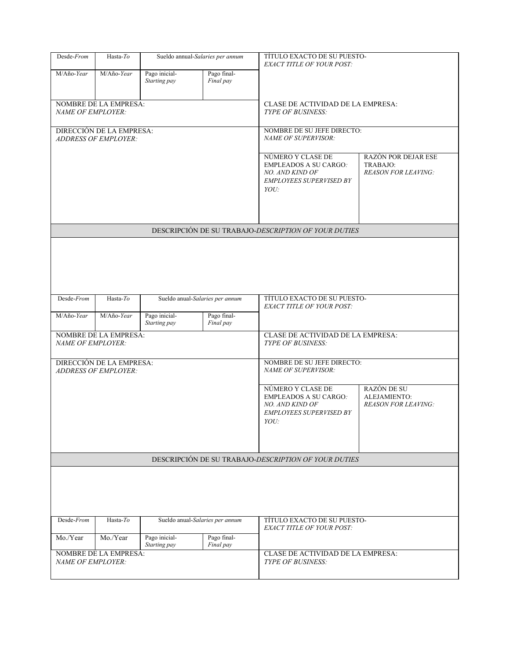| Desde-From                                           | Hasta-To<br>Sueldo annual-Salaries per annum            |                                 |                          | TÍTULO EXACTO DE SU PUESTO-<br><b>EXACT TITLE OF YOUR POST:</b>                                                                                                             |                                                                      |  |  |  |  |  |
|------------------------------------------------------|---------------------------------------------------------|---------------------------------|--------------------------|-----------------------------------------------------------------------------------------------------------------------------------------------------------------------------|----------------------------------------------------------------------|--|--|--|--|--|
| M/Año-Year                                           | M/Año-Year                                              | Pago inicial-<br>Starting pay   | Pago final-<br>Final pay |                                                                                                                                                                             |                                                                      |  |  |  |  |  |
| NAME OF EMPLOYER:                                    | <b>NOMBRE DE LA EMPRESA:</b>                            |                                 |                          | CLASE DE ACTIVIDAD DE LA EMPRESA:<br><b>TYPE OF BUSINESS:</b>                                                                                                               |                                                                      |  |  |  |  |  |
|                                                      | DIRECCIÓN DE LA EMPRESA:<br><b>ADDRESS OF EMPLOYER:</b> |                                 |                          | NOMBRE DE SU JEFE DIRECTO:<br>NAME OF SUPERVISOR:                                                                                                                           |                                                                      |  |  |  |  |  |
|                                                      |                                                         |                                 |                          | NÚMERO Y CLASE DE<br><b>EMPLEADOS A SU CARGO:</b><br>NO. AND KIND OF<br><b>EMPLOYEES SUPERVISED BY</b><br>YOU:                                                              | <b>RAZÓN POR DEJAR ESE</b><br>TRABAJO:<br><b>REASON FOR LEAVING:</b> |  |  |  |  |  |
|                                                      |                                                         |                                 |                          | DESCRIPCIÓN DE SU TRABAJO-DESCRIPTION OF YOUR DUTIES                                                                                                                        |                                                                      |  |  |  |  |  |
|                                                      |                                                         |                                 |                          |                                                                                                                                                                             |                                                                      |  |  |  |  |  |
| Desde-From                                           | Hasta- $To$                                             | Sueldo anual-Salaries per annum |                          | TÍTULO EXACTO DE SU PUESTO-<br><b>EXACT TITLE OF YOUR POST:</b>                                                                                                             |                                                                      |  |  |  |  |  |
| M/Año-Year                                           | M/Año-Year                                              | Pago inicial-<br>Starting pay   | Pago final-<br>Final pay |                                                                                                                                                                             |                                                                      |  |  |  |  |  |
| <b>NAME OF EMPLOYER:</b>                             | NOMBRE DE LA EMPRESA:                                   |                                 |                          | CLASE DE ACTIVIDAD DE LA EMPRESA:<br>TYPE OF BUSINESS:                                                                                                                      |                                                                      |  |  |  |  |  |
|                                                      | DIRECCIÓN DE LA EMPRESA:<br><b>ADDRESS OF EMPLOYER:</b> |                                 |                          | NOMBRE DE SU JEFE DIRECTO:<br>NAME OF SUPERVISOR:                                                                                                                           |                                                                      |  |  |  |  |  |
|                                                      |                                                         |                                 |                          | RAZÓN DE SU<br>NÚMERO Y CLASE DE<br><b>EMPLEADOS A SU CARGO:</b><br>ALEJAMIENTO:<br>NO. AND KIND OF<br><b>REASON FOR LEAVING:</b><br><b>EMPLOYEES SUPERVISED BY</b><br>YOU: |                                                                      |  |  |  |  |  |
| DESCRIPCIÓN DE SU TRABAJO-DESCRIPTION OF YOUR DUTIES |                                                         |                                 |                          |                                                                                                                                                                             |                                                                      |  |  |  |  |  |
|                                                      |                                                         |                                 |                          |                                                                                                                                                                             |                                                                      |  |  |  |  |  |
| Desde-From                                           | Hasta-To                                                | Sueldo anual-Salaries per annum |                          | TÍTULO EXACTO DE SU PUESTO-<br><b>EXACT TITLE OF YOUR POST:</b>                                                                                                             |                                                                      |  |  |  |  |  |
| Mo./Year                                             | Mo./Year                                                | Pago inicial-<br>Starting pay   | Pago final-<br>Final pay |                                                                                                                                                                             |                                                                      |  |  |  |  |  |
| NAME OF EMPLOYER:                                    | NOMBRE DE LA EMPRESA:                                   |                                 |                          | CLASE DE ACTIVIDAD DE LA EMPRESA:<br><b>TYPE OF BUSINESS:</b>                                                                                                               |                                                                      |  |  |  |  |  |